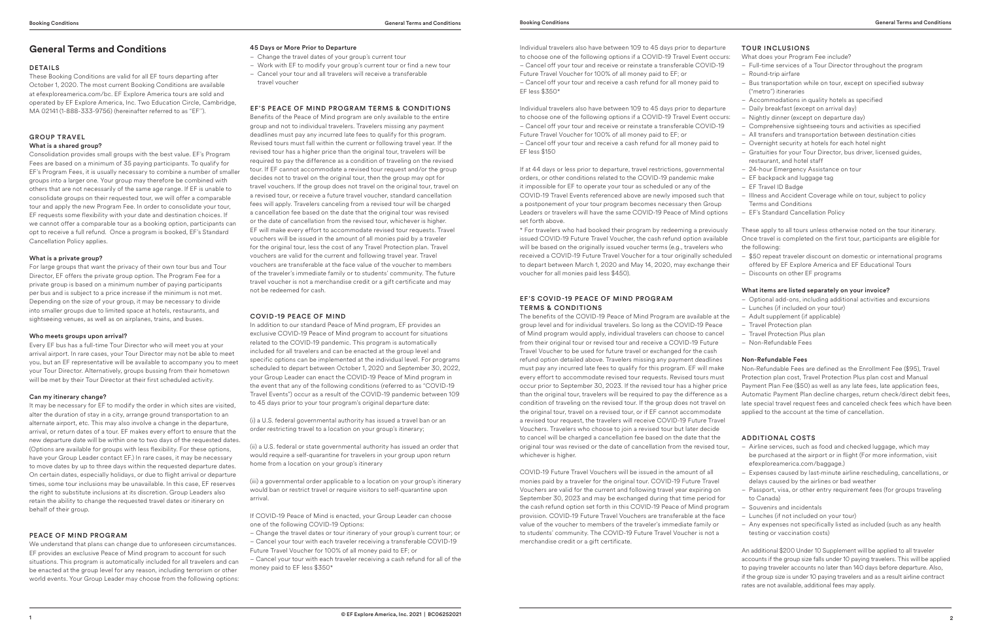# **General Terms and Conditions**

#### DETAILS

These Booking Conditions are valid for all EF tours departing after October 1, 2020. The most current Booking Conditions are available at efexploreamerica.com/bc. EF Explore America tours are sold and operated by EF Explore America, Inc. Two Education Circle, Cambridge, MA 02141 (1-888-333-9756) (hereinafter referred to as "EF'').

# GROUP TRAVEL What is a shared group?

Consolidation provides small groups with the best value. EF's Program Fees are based on a minimum of 35 paying participants. To qualify for EF's Program Fees, it is usually necessary to combine a number of smaller groups into a larger one. Your group may therefore be combined with others that are not necessarily of the same age range. If EF is unable to consolidate groups on their requested tour, we will offer a comparable tour and apply the new Program Fee. In order to consolidate your tour, EF requests some flexibility with your date and destination choices. If we cannot offer a comparable tour as a booking option, participants can opt to receive a full refund. Once a program is booked, EF's Standard Cancellation Policy applies.

#### What is a private group?

For large groups that want the privacy of their own tour bus and Tour Director, EF offers the private group option. The Program Fee for a private group is based on a minimum number of paying participants per bus and is subject to a price increase if the minimum is not met. Depending on the size of your group, it may be necessary to divide into smaller groups due to limited space at hotels, restaurants, and sightseeing venues, as well as on airplanes, trains, and buses.

# Who meets groups upon arrival?

Every EF bus has a full-time Tour Director who will meet you at your arrival airport. In rare cases, your Tour Director may not be able to meet you, but an EF representative will be available to accompany you to meet your Tour Director. Alternatively, groups bussing from their hometown will be met by their Tour Director at their first scheduled activity.

# Can my itinerary change?

It may be necessary for EF to modify the order in which sites are visited, alter the duration of stay in a city, arrange ground transportation to an alternate airport, etc. This may also involve a change in the departure, arrival, or return dates of a tour. EF makes every effort to ensure that the new departure date will be within one to two days of the requested dates. (Options are available for groups with less flexibility. For these options, have your Group Leader contact EF.) In rare cases, it may be necessary to move dates by up to three days within the requested departure dates. On certain dates, especially holidays, or due to flight arrival or departure times, some tour inclusions may be unavailable. In this case, EF reserves the right to substitute inclusions at its discretion. Group Leaders also retain the ability to change the requested travel dates or itinerary on behalf of their group.

# PEACE OF MIND PROGRAM

We understand that plans can change due to unforeseen circumstances. EF provides an exclusive Peace of Mind program to account for such situations. This program is automatically included for all travelers and can be enacted at the group level for any reason, including terrorism or other world events. Your Group Leader may choose from the following options:

# 45 Days or More Prior to Departure

- Change the travel dates of your group's current tour
- Work with EF to modify your group's current tour or find a new tour
- Cancel your tour and all travelers will receive a transferable travel voucher

# EF'S PEACE OF MIND PROGRAM TERMS & CONDITIONS

Benefits of the Peace of Mind program are only available to the entire group and not to individual travelers. Travelers missing any payment deadlines must pay any incurred late fees to qualify for this program. Revised tours must fall within the current or following travel year. If the revised tour has a higher price than the original tour, travelers will be required to pay the difference as a condition of traveling on the revised tour. If EF cannot accommodate a revised tour request and/or the group decides not to travel on the original tour, then the group may opt for travel vouchers. If the group does not travel on the original tour, travel on a revised tour, or receive a future travel voucher, standard cancellation fees will apply. Travelers canceling from a revised tour will be charged a cancellation fee based on the date that the original tour was revised or the date of cancellation from the revised tour, whichever is higher. EF will make every effort to accommodate revised tour requests. Travel vouchers will be issued in the amount of all monies paid by a traveler for the original tour, less the cost of any Travel Protection plan. Travel vouchers are valid for the current and following travel year. Travel vouchers are transferable at the face value of the voucher to members of the traveler's immediate family or to students' community. The future travel voucher is not a merchandise credit or a gift certificate and may not be redeemed for cash.

# COVID-19 PEACE OF MIND

In addition to our standard Peace of Mind program, EF provides an exclusive COVID-19 Peace of Mind program to account for situations related to the COVID-19 pandemic. This program is automatically included for all travelers and can be enacted at the group level and specific options can be implemented at the individual level. For programs scheduled to depart between October 1, 2020 and September 30, 2022, your Group Leader can enact the COVID-19 Peace of Mind program in the event that any of the following conditions (referred to as "COVID-19 Travel Events") occur as a result of the COVID-19 pandemic between 109 to 45 days prior to your tour program's original departure date:

(i) a U.S. federal governmental authority has issued a travel ban or an order restricting travel to a location on your group's itinerary;

(ii) a U.S. federal or state governmental authority has issued an order that would require a self-quarantine for travelers in your group upon return home from a location on your group's itinerary

(iii) a governmental order applicable to a location on your group's itinerary would ban or restrict travel or require visitors to self-quarantine upon arrival.

If COVID-19 Peace of Mind is enacted, your Group Leader can choose one of the following COVID-19 Options:

– Change the travel dates or tour itinerary of your group's current tour; or – Cancel your tour with each traveler receiving a transferable COVID-19 Future Travel Voucher for 100% of all money paid to EF; or

– Cancel your tour with each traveler receiving a cash refund for all of the money paid to EF less \$350\*

Individual travelers also have between 109 to 45 days prior to departure to choose one of the following options if a COVID-19 Travel Event occurs: – Cancel off your tour and receive or reinstate a transferable COVID-19 Future Travel Voucher for 100% of all money paid to EF; or – Cancel off your tour and receive a cash refund for all money paid to EF less \$350\*

Individual travelers also have between 109 to 45 days prior to departure to choose one of the following options if a COVID-19 Travel Event occurs: – Cancel off your tour and receive or reinstate a transferable COVID-19 Future Travel Voucher for 100% of all money paid to EF; or – Cancel off your tour and receive a cash refund for all money paid to EF less \$150

If at 44 days or less prior to departure, travel restrictions, governmental orders, or other conditions related to the COVID-19 pandemic make it impossible for EF to operate your tour as scheduled or any of the COVID-19 Travel Events referenced above are newly imposed such that a postponement of your tour program becomes necessary then Group Leaders or travelers will have the same COVID-19 Peace of Mind options set forth above.

\* For travelers who had booked their program by redeeming a previously issued COVID-19 Future Travel Voucher, the cash refund option available will be based on the originally issued voucher terms (e.g., travelers who received a COVID-19 Future Travel Voucher for a tour originally scheduled to depart between March 1, 2020 and May 14, 2020, may exchange their voucher for all monies paid less \$450).

# EF'S COVID-19 PEACE OF MIND PROGRAM TERMS & CONDITIONS

The benefits of the COVID-19 Peace of Mind Program are available at the group level and for individual travelers. So long as the COVID-19 Peace of Mind program would apply, individual travelers can choose to cancel from their original tour or revised tour and receive a COVID-19 Future Travel Voucher to be used for future travel or exchanged for the cash refund option detailed above. Travelers missing any payment deadlines must pay any incurred late fees to qualify for this program. EF will make every effort to accommodate revised tour requests. Revised tours must occur prior to September 30, 2023. If the revised tour has a higher price than the original tour, travelers will be required to pay the difference as a condition of traveling on the revised tour. If the group does not travel on the original tour, travel on a revised tour, or if EF cannot accommodate a revised tour request, the travelers will receive COVID-19 Future Travel Vouchers. Travelers who choose to join a revised tour but later decide to cancel will be charged a cancellation fee based on the date that the original tour was revised or the date of cancellation from the revised tour, whichever is higher.

COVID-19 Future Travel Vouchers will be issued in the amount of all monies paid by a traveler for the original tour. COVID-19 Future Travel Vouchers are valid for the current and following travel year expiring on September 30, 2023 and may be exchanged during that time period for the cash refund option set forth in this COVID-19 Peace of Mind program provision. COVID-19 Future Travel Vouchers are transferable at the face value of the voucher to members of the traveler's immediate family or to students' community. The COVID-19 Future Travel Voucher is not a merchandise credit or a gift certificate.

# TOUR INCLUSIONS

What does your Program Fee include?

- Full-time services of a Tour Director throughout the program – Round-trip airfare
- Bus transportation while on tour, except on specified subway ("metro") itineraries
- Accommodations in quality hotels as specified
- Daily breakfast (except on arrival day)
- Nightly dinner (except on departure day)
- Comprehensive sightseeing tours and activities as specified
- All transfers and transportation between destination cities
- Overnight security at hotels for each hotel night
- Gratuities for your Tour Director, bus driver, licensed guides, restaurant, and hotel staff
- 24-hour Emergency Assistance on tour
- EF backpack and luggage tag
- EF Travel ID Badge
- Illness and Accident Coverage while on tour, subject to policy Terms and Conditions
- EF's Standard Cancellation Policy

These apply to all tours unless otherwise noted on the tour itinerary. Once travel is completed on the first tour, participants are eligible for the following:

- \$50 repeat traveler discount on domestic or international programs offered by EF Explore America and EF Educational Tours
- Discounts on other EF programs

# What items are listed separately on your invoice?

- Optional add-ons, including additional activities and excursions
- Lunches (if included on your tour)
- Adult supplement (if applicable)
- Travel Protection plan
- Travel Protection Plus plan
- Non-Refundable Fees

# Non-Refundable Fees

Non-Refundable Fees are defined as the Enrollment Fee (\$95), Travel Protection plan cost, Travel Protection Plus plan cost and Manual Payment Plan Fee (\$50) as well as any late fees, late application fees, Automatic Payment Plan decline charges, return check/direct debit fees, late special travel request fees and canceled check fees which have been applied to the account at the time of cancellation.

# ADDITIONAL COSTS

- Airline services, such as food and checked luggage, which may be purchased at the airport or in flight (For more information, visit efexploreamerica.com/baggage.)
- Expenses caused by last-minute airline rescheduling, cancellations, or delays caused by the airlines or bad weather
- Passport, visa, or other entry requirement fees (for groups traveling to Canada)
- Souvenirs and incidentals
- Lunches (if not included on your tour)
- Any expenses not specifically listed as included (such as any health testing or vaccination costs)

An additional \$200 Under 10 Supplement will be applied to all traveler accounts if the group size falls under 10 paying travelers. This will be applied to paying traveler accounts no later than 140 days before departure. Also, if the group size is under 10 paying travelers and as a result airline contract rates are not available, additional fees may apply.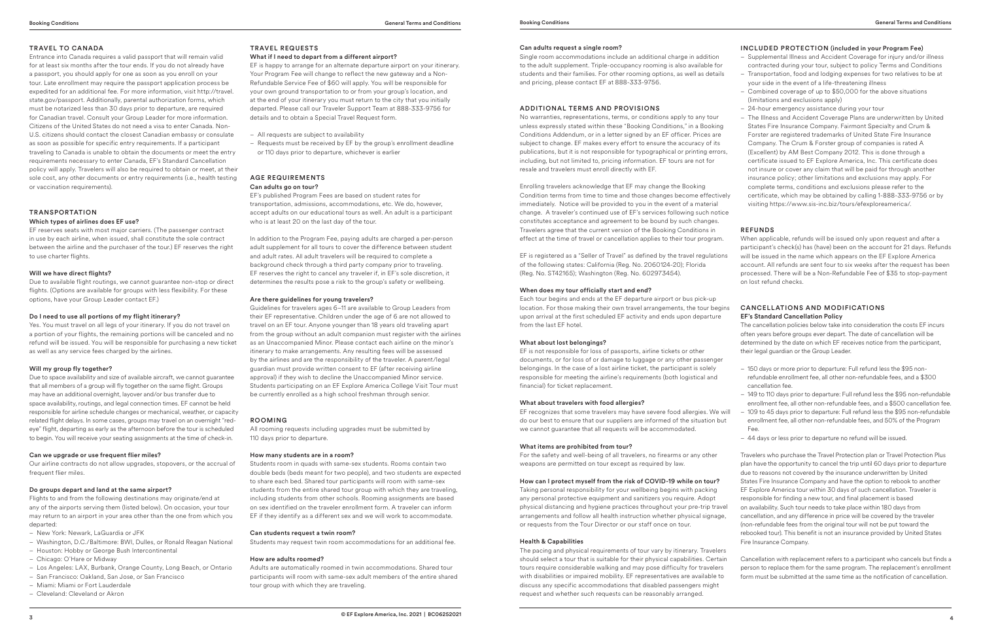# TRAVEL TO CANADA

Entrance into Canada requires a valid passport that will remain valid for at least six months after the tour ends. If you do not already have a passport, you should apply for one as soon as you enroll on your tour. Late enrollment may require the passport application process be expedited for an additional fee. For more information, visit http://travel. state.gov/passport. Additionally, parental authorization forms, which must be notarized less than 30 days prior to departure, are required for Canadian travel. Consult your Group Leader for more information. Citizens of the United States do not need a visa to enter Canada. Non-U.S. citizens should contact the closest Canadian embassy or consulate as soon as possible for specific entry requirements. If a participant traveling to Canada is unable to obtain the documents or meet the entry requirements necessary to enter Canada, EF's Standard Cancellation policy will apply. Travelers will also be required to obtain or meet, at their sole cost, any other documents or entry requirements (i.e., health testing or vaccination requirements).

# TRANSPORTATION Which types of airlines does EF use?

EF reserves seats with most major carriers. (The passenger contract in use by each airline, when issued, shall constitute the sole contract between the airline and the purchaser of the tour.) EF reserves the right to use charter flights.

#### Will we have direct flights?

Due to available flight routings, we cannot guarantee non-stop or direct flights. (Options are available for groups with less flexibility. For these options, have your Group Leader contact EF.)

#### Do I need to use all portions of my flight itinerary?

Yes. You must travel on all legs of your itinerary. If you do not travel on a portion of your flights, the remaining portions will be canceled and no refund will be issued. You will be responsible for purchasing a new ticket as well as any service fees charged by the airlines.

#### Will my group fly together?

Due to space availability and size of available aircraft, we cannot guarantee that all members of a group will fly together on the same flight. Groups may have an additional overnight, layover and/or bus transfer due to space availability, routings, and legal connection times. EF cannot be held responsible for airline schedule changes or mechanical, weather, or capacity related flight delays. In some cases, groups may travel on an overnight "redeye" flight, departing as early as the afternoon before the tour is scheduled to begin. You will receive your seating assignments at the time of check-in.

#### Can we upgrade or use frequent flier miles?

Our airline contracts do not allow upgrades, stopovers, or the accrual of frequent flier miles.

# Do groups depart and land at the same airport?

Flights to and from the following destinations may originate/end at any of the airports serving them (listed below). On occasion, your tour may return to an airport in your area other than the one from which you departed:

- New York: Newark, LaGuardia or JFK
- Washington, D.C./Baltimore: BWI, Dulles, or Ronald Reagan National
- Houston: Hobby or George Bush Intercontinental
- Chicago: O'Hare or Midway
- Los Angeles: LAX, Burbank, Orange County, Long Beach, or Ontario
- San Francisco: Oakland, San Jose, or San Francisco
- Miami: Miami or Fort Lauderdale – Cleveland: Cleveland or Akron

TRAVEL REQUESTS

What if I need to depart from a different airport?

EF is happy to arrange for an alternate departure airport on your itinerary. Your Program Fee will change to reflect the new gateway and a Non-Refundable Service Fee of \$60 will apply. You will be responsible for your own ground transportation to or from your group's location, and at the end of your itinerary you must return to the city that you initially departed. Please call our Traveler Support Team at 888-333-9756 for details and to obtain a Special Travel Request form.

– All requests are subject to availability

– Requests must be received by EF by the group's enrollment deadline or 110 days prior to departure, whichever is earlier

#### AGE REQUIREMENTS Can adults go on tour?

EF's published Program Fees are based on student rates for transportation, admissions, accommodations, etc. We do, however, accept adults on our educational tours as well. An adult is a participant who is at least 20 on the last day of the tour.

In addition to the Program Fee, paying adults are charged a per-person adult supplement for all tours to cover the difference between student and adult rates. All adult travelers will be required to complete a background check through a third party company prior to traveling. EF reserves the right to cancel any traveler if, in EF's sole discretion, it determines the results pose a risk to the group's safety or wellbeing.

# Are there guidelines for young travelers?

Guidelines for travelers ages 6–11 are available to Group Leaders from their EF representative. Children under the age of 6 are not allowed to travel on an EF tour. Anyone younger than 18 years old traveling apart from the group without an adult companion must register with the airlines as an Unaccompanied Minor. Please contact each airline on the minor's itinerary to make arrangements. Any resulting fees will be assessed by the airlines and are the responsibility of the traveler. A parent/legal guardian must provide written consent to EF (after receiving airline approval) if they wish to decline the Unaccompanied Minor service. Students participating on an EF Explore America College Visit Tour must be currently enrolled as a high school freshman through senior.

#### ROOMING

All rooming requests including upgrades must be submitted by 110 days prior to departure.

#### How many students are in a room?

Students room in quads with same-sex students. Rooms contain two double beds (beds meant for two people), and two students are expected to share each bed. Shared tour participants will room with same-sex students from the entire shared tour group with which they are traveling, including students from other schools. Rooming assignments are based on sex identified on the traveler enrollment form. A traveler can inform EF if they identify as a different sex and we will work to accommodate.

#### Can students request a twin room?

Students may request twin room accommodations for an additional fee.

# How are adults roomed?

Adults are automatically roomed in twin accommodations. Shared tour participants will room with same-sex adult members of the entire shared tour group with which they are traveling.

#### Can adults request a single room?

Single room accommodations include an additional charge in addition to the adult supplement. Triple-occupancy rooming is also available for students and their families. For other rooming options, as well as details and pricing, please contact EF at 888-333-9756.

# ADDITIONAL TERMS AND PROVISIONS

No warranties, representations, terms, or conditions apply to any tour unless expressly stated within these "Booking Conditions," in a Booking Conditions Addendum, or in a letter signed by an EF officer. Prices are subject to change. EF makes every effort to ensure the accuracy of its publications, but it is not responsible for typographical or printing errors, including, but not limited to, pricing information. EF tours are not for resale and travelers must enroll directly with EF.

Enrolling travelers acknowledge that EF may change the Booking Condition terms from time to time and those changes become effectively immediately. Notice will be provided to you in the event of a material change. A traveler's continued use of EF's services following such notice constitutes acceptance and agreement to be bound by such changes. Travelers agree that the current version of the Booking Conditions in effect at the time of travel or cancellation applies to their tour program.

EF is registered as a "Seller of Travel" as defined by the travel regulations of the following states: California (Reg. No. 2060124-20); Florida (Reg. No. ST42165); Washington (Reg. No. 602973454).

#### When does my tour officially start and end?

Each tour begins and ends at the EF departure airport or bus pick-up location. For those making their own travel arrangements, the tour begins upon arrival at the first scheduled EF activity and ends upon departure from the last EF hotel.

# What about lost belongings?

EF is not responsible for loss of passports, airline tickets or other documents, or for loss of or damage to luggage or any other passenger belongings. In the case of a lost airline ticket, the participant is solely responsible for meeting the airline's requirements (both logistical and financial) for ticket replacement.

# What about travelers with food allergies?

EF recognizes that some travelers may have severe food allergies. We will do our best to ensure that our suppliers are informed of the situation but we cannot guarantee that all requests will be accommodated.

#### What items are prohibited from tour?

For the safety and well-being of all travelers, no firearms or any other weapons are permitted on tour except as required by law.

#### How can I protect myself from the risk of COVID-19 while on tour?

Taking personal responsibility for your wellbeing begins with packing any personal protective equipment and sanitizers you require. Adopt physical distancing and hygiene practices throughout your pre-trip travel arrangements and follow all health instruction whether physical signage, or requests from the Tour Director or our staff once on tour.

#### Health & Capabilities

The pacing and physical requirements of tour vary by itinerary. Travelers should select a tour that is suitable for their physical capabilities. Certain tours require considerable walking and may pose difficulty for travelers with disabilities or impaired mobility. EF representatives are available to discuss any specific accommodations that disabled passengers might request and whether such requests can be reasonably arranged.

# INCLUDED PROTECTION (included in your Program Fee)

- Supplemental Illness and Accident Coverage for injury and/or illness contracted during your tour, subject to policy Terms and Conditions
- Transportation, food and lodging expenses for two relatives to be at your side in the event of a life-threatening illness
- Combined coverage of up to \$50,000 for the above situations (limitations and exclusions apply)
- 24-hour emergency assistance during your tour
- The Illness and Accident Coverage Plans are underwritten by United States Fire Insurance Company. Fairmont Specialty and Crum & Forster are registered trademarks of United State Fire Insurance Company. The Crum & Forster group of companies is rated A (Excellent) by AM Best Company 2012. This is done through a certificate issued to EF Explore America, Inc. This certificate does not insure or cover any claim that will be paid for through another insurance policy; other limitations and exclusions may apply. For complete terms, conditions and exclusions please refer to the certificate, which may be obtained by calling 1-888-333-9756 or by visiting https://www.sis-inc.biz/tours/efexploreamerica/.

# REFUNDS

When applicable, refunds will be issued only upon request and after a participant's check(s) has (have) been on the account for 21 days. Refunds will be issued in the name which appears on the EF Explore America account. All refunds are sent four to six weeks after the request has been processed. There will be a Non-Refundable Fee of \$35 to stop-payment on lost refund checks.

# CANCELLATIONS AND MODIFICATIONS EF's Standard Cancellation Policy

The cancellation policies below take into consideration the costs EF incurs often years before groups ever depart. The date of cancellation will be determined by the date on which EF receives notice from the participant, their legal guardian or the Group Leader.

- 150 days or more prior to departure: Full refund less the \$95 nonrefundable enrollment fee, all other non-refundable fees, and a \$300 cancellation fee.
- 149 to 110 days prior to departure: Full refund less the \$95 non-refundable enrollment fee, all other non-refundable fees, and a \$500 cancellation fee.
- 109 to 45 days prior to departure: Full refund less the \$95 non-refundable enrollment fee, all other non-refundable fees, and 50% of the Program Fee.
- 44 days or less prior to departure no refund will be issued.

Travelers who purchase the Travel Protection plan or Travel Protection Plus plan have the opportunity to cancel the trip until 60 days prior to departure due to reasons not covered by the insurance underwritten by United States Fire Insurance Company and have the option to rebook to another EF Explore America tour within 30 days of such cancellation. Traveler is responsible for finding a new tour, and final placement is based on availability. Such tour needs to take place within 180 days from cancellation, and any difference in price will be covered by the traveler (non-refundable fees from the original tour will not be put toward the rebooked tour). This benefit is not an insurance provided by United States Fire Insurance Company.

Cancellation with replacement refers to a participant who cancels but finds a person to replace them for the same program. The replacement's enrollment form must be submitted at the same time as the notification of cancellation.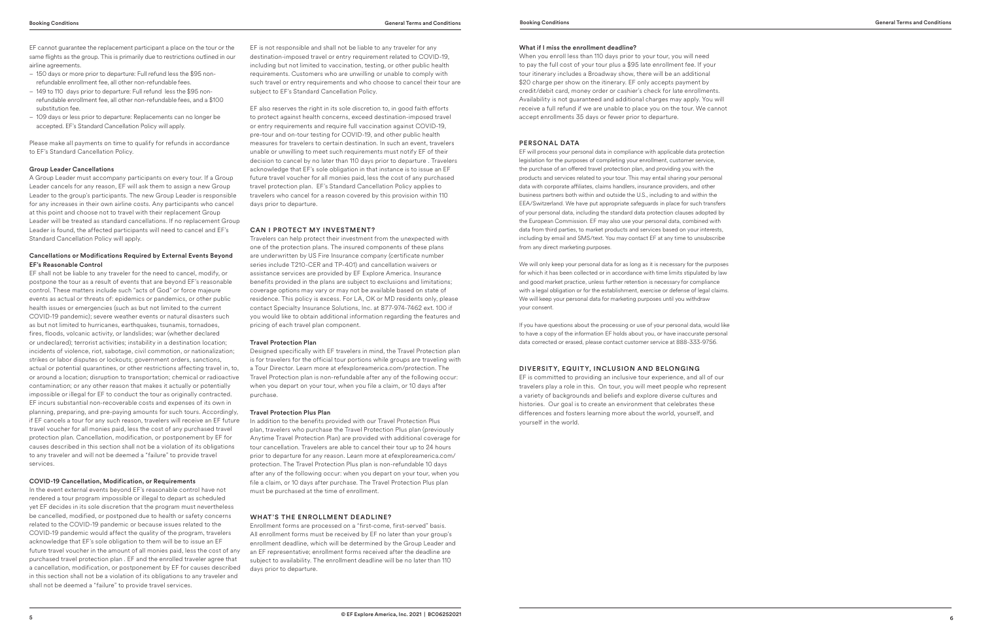EF cannot guarantee the replacement participant a place on the tour or the same flights as the group. This is primarily due to restrictions outlined in our airline agreements.

- 150 days or more prior to departure: Full refund less the \$95 nonrefundable enrollment fee, all other non-refundable fees.
- 149 to 110 days prior to departure: Full refund less the \$95 nonrefundable enrollment fee, all other non-refundable fees, and a \$100 substitution fee.
- 109 days or less prior to departure: Replacements can no longer be accepted. EF's Standard Cancellation Policy will apply.

Please make all payments on time to qualify for refunds in accordance to EF's Standard Cancellation Policy.

#### Group Leader Cancellations

A Group Leader must accompany participants on every tour. If a Group Leader cancels for any reason, EF will ask them to assign a new Group Leader to the group's participants. The new Group Leader is responsible for any increases in their own airline costs. Any participants who cancel at this point and choose not to travel with their replacement Group Leader will be treated as standard cancellations. If no replacement Group Leader is found, the affected participants will need to cancel and EF's Standard Cancellation Policy will apply.

# Cancellations or Modifications Required by External Events Beyond EF's Reasonable Control

EF shall not be liable to any traveler for the need to cancel, modify, or postpone the tour as a result of events that are beyond EF's reasonable control. These matters include such "acts of God" or force majeure events as actual or threats of: epidemics or pandemics, or other public health issues or emergencies (such as but not limited to the current COVID-19 pandemic); severe weather events or natural disasters such as but not limited to hurricanes, earthquakes, tsunamis, tornadoes, fires, floods, volcanic activity, or landslides; war (whether declared or undeclared); terrorist activities; instability in a destination location; incidents of violence, riot, sabotage, civil commotion, or nationalization; strikes or labor disputes or lockouts; government orders, sanctions, actual or potential quarantines, or other restrictions affecting travel in, to, or around a location; disruption to transportation; chemical or radioactive contamination; or any other reason that makes it actually or potentially impossible or illegal for EF to conduct the tour as originally contracted. EF incurs substantial non-recoverable costs and expenses of its own in planning, preparing, and pre-paying amounts for such tours. Accordingly, if EF cancels a tour for any such reason, travelers will receive an EF future travel voucher for all monies paid, less the cost of any purchased travel protection plan. Cancellation, modification, or postponement by EF for causes described in this section shall not be a violation of its obligations to any traveler and will not be deemed a "failure" to provide travel services.

# COVID-19 Cancellation, Modification, or Requirements

In the event external events beyond EF's reasonable control have not rendered a tour program impossible or illegal to depart as scheduled yet EF decides in its sole discretion that the program must nevertheless be cancelled, modified, or postponed due to health or safety concerns related to the COVID-19 pandemic or because issues related to the COVID-19 pandemic would affect the quality of the program, travelers acknowledge that EF's sole obligation to them will be to issue an EF future travel voucher in the amount of all monies paid, less the cost of any purchased travel protection plan . EF and the enrolled traveler agree that a cancellation, modification, or postponement by EF for causes described in this section shall not be a violation of its obligations to any traveler and shall not be deemed a "failure" to provide travel services.

EF is not responsible and shall not be liable to any traveler for any destination-imposed travel or entry requirement related to COVID-19, including but not limited to vaccination, testing, or other public health requirements. Customers who are unwilling or unable to comply with such travel or entry requirements and who choose to cancel their tour are subject to EF's Standard Cancellation Policy.

EF also reserves the right in its sole discretion to, in good faith efforts to protect against health concerns, exceed destination-imposed travel or entry requirements and require full vaccination against COVID-19, pre-tour and on-tour testing for COVID-19, and other public health measures for travelers to certain destination. In such an event, travelers unable or unwilling to meet such requirements must notify EF of their decision to cancel by no later than 110 days prior to departure . Travelers acknowledge that EF's sole obligation in that instance is to issue an EF future travel voucher for all monies paid, less the cost of any purchased travel protection plan. EF's Standard Cancellation Policy applies to travelers who cancel for a reason covered by this provision within 110 days prior to departure.

# CAN I PROTECT MY INVESTMENT?

Travelers can help protect their investment from the unexpected with one of the protection plans. The insured components of these plans are underwritten by US Fire Insurance company (certificate number series include T210-CER and TP-401) and cancellation waivers or assistance services are provided by EF Explore America. Insurance benefits provided in the plans are subject to exclusions and limitations; coverage options may vary or may not be available based on state of residence. This policy is excess. For LA, OK or MD residents only, please contact Specialty Insurance Solutions, Inc. at 877-974-7462 ext. 100 if you would like to obtain additional information regarding the features and pricing of each travel plan component.

#### Travel Protection Plan

Designed specifically with EF travelers in mind, the Travel Protection plan is for travelers for the official tour portions while groups are traveling with a Tour Director. Learn more at efexploreamerica.com/protection. The Travel Protection plan is non-refundable after any of the following occur: when you depart on your tour, when you file a claim, or 10 days after purchase.

# Travel Protection Plus Plan

In addition to the benefits provided with our Travel Protection Plus plan, travelers who purchase the Travel Protection Plus plan (previously Anytime Travel Protection Plan) are provided with additional coverage for tour cancellation. Travelers are able to cancel their tour up to 24 hours prior to departure for any reason. Learn more at efexploreamerica.com/ protection. The Travel Protection Plus plan is non-refundable 10 days after any of the following occur: when you depart on your tour, when you file a claim, or 10 days after purchase. The Travel Protection Plus plan must be purchased at the time of enrollment.

#### WHAT'S THE ENROLLMENT DEADLINE?

Enrollment forms are processed on a "first-come, first-served" basis. All enrollment forms must be received by EF no later than your group's enrollment deadline, which will be determined by the Group Leader and an EF representative; enrollment forms received after the deadline are subject to availability. The enrollment deadline will be no later than 110 days prior to departure.

# What if I miss the enrollment deadline?

When you enroll less than 110 days prior to your tour, you will need to pay the full cost of your tour plus a \$95 late enrollment fee. If your tour itinerary includes a Broadway show, there will be an additional \$20 charge per show on the itinerary. EF only accepts payment by credit/debit card, money order or cashier's check for late enrollments. Availability is not guaranteed and additional charges may apply. You will receive a full refund if we are unable to place you on the tour. We cannot accept enrollments 35 days or fewer prior to departure.

# PERSONAL DATA

EF will process your personal data in compliance with applicable data protection legislation for the purposes of completing your enrollment, customer service, the purchase of an offered travel protection plan, and providing you with the products and services related to your tour. This may entail sharing your personal data with corporate affiliates, claims handlers, insurance providers, and other business partners both within and outside the U.S., including to and within the EEA/Switzerland. We have put appropriate safeguards in place for such transfers of your personal data, including the standard data protection clauses adopted by the European Commission. EF may also use your personal data, combined with data from third parties, to market products and services based on your interests, including by email and SMS/text. You may contact EF at any time to unsubscribe from any direct marketing purposes.

We will only keep your personal data for as long as it is necessary for the purposes for which it has been collected or in accordance with time limits stipulated by law and good market practice, unless further retention is necessary for compliance with a legal obligation or for the establishment, exercise or defense of legal claims. We will keep your personal data for marketing purposes until you withdraw your consent.

If you have questions about the processing or use of your personal data, would like to have a copy of the information EF holds about you, or have inaccurate personal data corrected or erased, please contact customer service at 888-333-9756.

# DIVERSITY, EQUITY, INCLUSION AND BELONGING

EF is committed to providing an inclusive tour experience, and all of our travelers play a role in this. On tour, you will meet people who represent a variety of backgrounds and beliefs and explore diverse cultures and histories. Our goal is to create an environment that celebrates these differences and fosters learning more about the world, yourself, and yourself in the world.